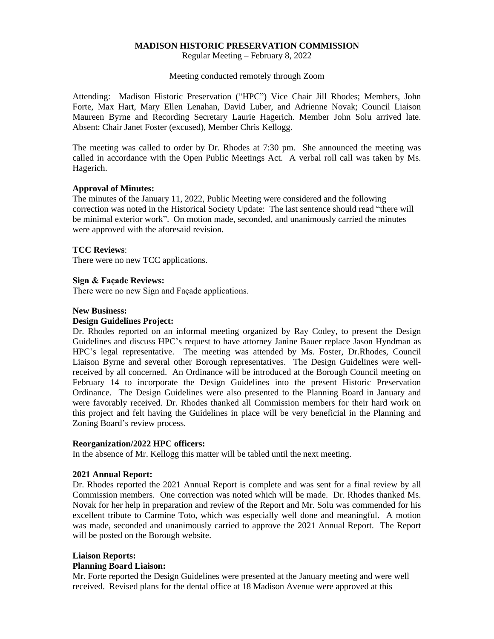# **MADISON HISTORIC PRESERVATION COMMISSION**

Regular Meeting – February 8, 2022

Meeting conducted remotely through Zoom

Attending: Madison Historic Preservation ("HPC") Vice Chair Jill Rhodes; Members, John Forte, Max Hart, Mary Ellen Lenahan, David Luber, and Adrienne Novak; Council Liaison Maureen Byrne and Recording Secretary Laurie Hagerich. Member John Solu arrived late. Absent: Chair Janet Foster (excused), Member Chris Kellogg.

The meeting was called to order by Dr. Rhodes at 7:30 pm. She announced the meeting was called in accordance with the Open Public Meetings Act. A verbal roll call was taken by Ms. Hagerich.

### **Approval of Minutes:**

The minutes of the January 11, 2022, Public Meeting were considered and the following correction was noted in the Historical Society Update: The last sentence should read "there will be minimal exterior work". On motion made, seconded, and unanimously carried the minutes were approved with the aforesaid revision.

### **TCC Reviews**:

There were no new TCC applications.

### **Sign & Façade Reviews:**

There were no new Sign and Façade applications.

#### **New Business:**

#### **Design Guidelines Project:**

Dr. Rhodes reported on an informal meeting organized by Ray Codey, to present the Design Guidelines and discuss HPC's request to have attorney Janine Bauer replace Jason Hyndman as HPC's legal representative. The meeting was attended by Ms. Foster, Dr.Rhodes, Council Liaison Byrne and several other Borough representatives. The Design Guidelines were wellreceived by all concerned. An Ordinance will be introduced at the Borough Council meeting on February 14 to incorporate the Design Guidelines into the present Historic Preservation Ordinance. The Design Guidelines were also presented to the Planning Board in January and were favorably received. Dr. Rhodes thanked all Commission members for their hard work on this project and felt having the Guidelines in place will be very beneficial in the Planning and Zoning Board's review process.

## **Reorganization/2022 HPC officers:**

In the absence of Mr. Kellogg this matter will be tabled until the next meeting.

### **2021 Annual Report:**

Dr. Rhodes reported the 2021 Annual Report is complete and was sent for a final review by all Commission members. One correction was noted which will be made. Dr. Rhodes thanked Ms. Novak for her help in preparation and review of the Report and Mr. Solu was commended for his excellent tribute to Carmine Toto, which was especially well done and meaningful. A motion was made, seconded and unanimously carried to approve the 2021 Annual Report. The Report will be posted on the Borough website.

#### **Liaison Reports:**

#### **Planning Board Liaison:**

Mr. Forte reported the Design Guidelines were presented at the January meeting and were well received. Revised plans for the dental office at 18 Madison Avenue were approved at this